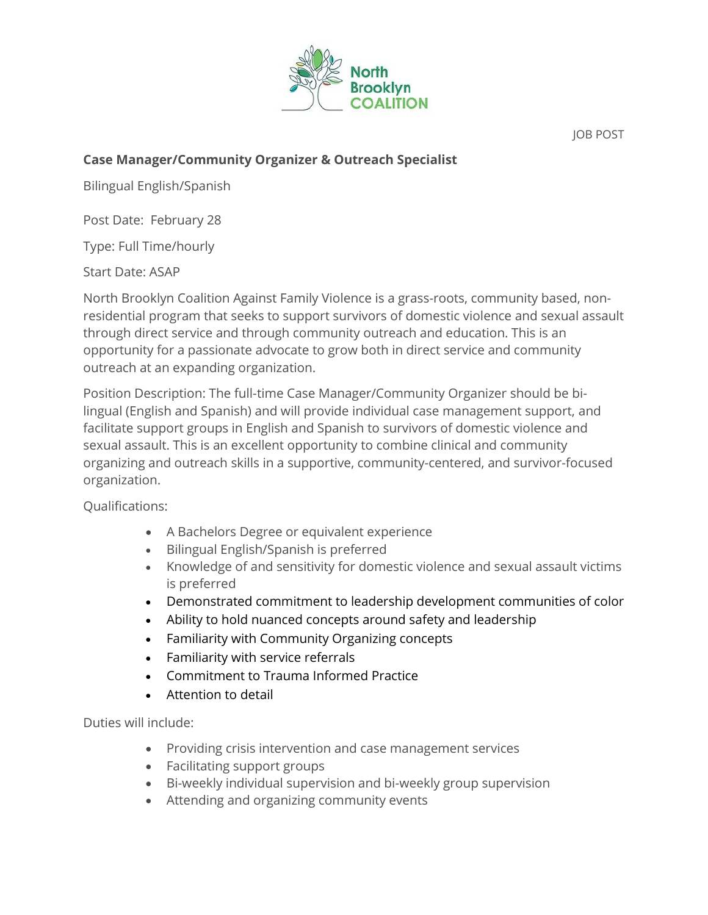

JOB POST

## **Case Manager/Community Organizer & Outreach Specialist**

Bilingual English/Spanish

Post Date: February 28

Type: Full Time/hourly

Start Date: ASAP

North Brooklyn Coalition Against Family Violence is a grass-roots, community based, nonresidential program that seeks to support survivors of domestic violence and sexual assault through direct service and through community outreach and education. This is an opportunity for a passionate advocate to grow both in direct service and community outreach at an expanding organization.

Position Description: The full-time Case Manager/Community Organizer should be bilingual (English and Spanish) and will provide individual case management support, and facilitate support groups in English and Spanish to survivors of domestic violence and sexual assault. This is an excellent opportunity to combine clinical and community organizing and outreach skills in a supportive, community-centered, and survivor-focused organization.

Qualifications:

- A Bachelors Degree or equivalent experience
- Bilingual English/Spanish is preferred
- Knowledge of and sensitivity for domestic violence and sexual assault victims is preferred
- Demonstrated commitment to leadership development communities of color
- Ability to hold nuanced concepts around safety and leadership
- Familiarity with Community Organizing concepts
- Familiarity with service referrals
- Commitment to Trauma Informed Practice
- Attention to detail

Duties will include:

- Providing crisis intervention and case management services
- Facilitating support groups
- Bi-weekly individual supervision and bi-weekly group supervision
- Attending and organizing community events